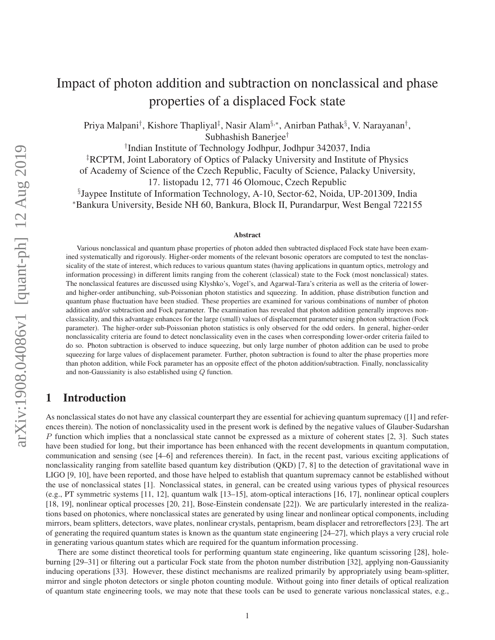# Impact of photon addition and subtraction on nonclassical and phase properties of a displaced Fock state

Priya Malpani<sup>†</sup>, Kishore Thapliyal<sup>‡</sup>, Nasir Alam<sup>§,∗</sup>, Anirban Pathak<sup>§</sup>, V. Narayanan<sup>†</sup>, Subhashish Banerjee†

† Indian Institute of Technology Jodhpur, Jodhpur 342037, India

‡RCPTM, Joint Laboratory of Optics of Palacky University and Institute of Physics

of Academy of Science of the Czech Republic, Faculty of Science, Palacky University,

17. listopadu 12, 771 46 Olomouc, Czech Republic

§ Jaypee Institute of Information Technology, A-10, Sector-62, Noida, UP-201309, India <sup>∗</sup>Bankura University, Beside NH 60, Bankura, Block II, Purandarpur, West Bengal 722155

#### Abstract

Various nonclassical and quantum phase properties of photon added then subtracted displaced Fock state have been examined systematically and rigorously. Higher-order moments of the relevant bosonic operators are computed to test the nonclassicality of the state of interest, which reduces to various quantum states (having applications in quantum optics, metrology and information processing) in different limits ranging from the coherent (classical) state to the Fock (most nonclassical) states. The nonclassical features are discussed using Klyshko's, Vogel's, and Agarwal-Tara's criteria as well as the criteria of lowerand higher-order antibunching, sub-Poissonian photon statistics and squeezing. In addition, phase distribution function and quantum phase fluctuation have been studied. These properties are examined for various combinations of number of photon addition and/or subtraction and Fock parameter. The examination has revealed that photon addition generally improves nonclassicality, and this advantage enhances for the large (small) values of displacement parameter using photon subtraction (Fock parameter). The higher-order sub-Poissonian photon statistics is only observed for the odd orders. In general, higher-order nonclassicality criteria are found to detect nonclassicality even in the cases when corresponding lower-order criteria failed to do so. Photon subtraction is observed to induce squeezing, but only large number of photon addition can be used to probe squeezing for large values of displacement parameter. Further, photon subtraction is found to alter the phase properties more than photon addition, while Fock parameter has an opposite effect of the photon addition/subtraction. Finally, nonclassicality and non-Gaussianity is also established using Q function.

## 1 Introduction

As nonclassical states do not have any classical counterpart they are essential for achieving quantum supremacy ([1] and references therein). The notion of nonclassicality used in the present work is defined by the negative values of Glauber-Sudarshan  $P$  function which implies that a nonclassical state cannot be expressed as a mixture of coherent states  $[2, 3]$ . Such states have been studied for long, but their importance has been enhanced with the recent developments in quantum computation, communication and sensing (see [4–6] and references therein). In fact, in the recent past, various exciting applications of nonclassicality ranging from satellite based quantum key distribution (QKD) [7, 8] to the detection of gravitational wave in LIGO [9, 10], have been reported, and those have helped to establish that quantum supremacy cannot be established without the use of nonclassical states [1]. Nonclassical states, in general, can be created using various types of physical resources (e.g., PT symmetric systems [11, 12], quantum walk [13–15], atom-optical interactions [16, 17], nonlinear optical couplers [18, 19], nonlinear optical processes [20, 21], Bose-Einstein condensate [22]). We are particularly interested in the realizations based on photonics, where nonclassical states are generated by using linear and nonlinear optical components, including mirrors, beam splitters, detectors, wave plates, nonlinear crystals, pentaprism, beam displacer and retroreflectors [23]. The art of generating the required quantum states is known as the quantum state engineering  $[24–27]$ , which plays a very crucial role in generating various quantum states which are required for the quantum information processing.

There are some distinct theoretical tools for performing quantum state engineering, like quantum scissoring [28], holeburning [29–31] or filtering out a particular Fock state from the photon number distribution [32], applying non-Gaussianity inducing operations [33]. However, these distinct mechanisms are realized primarily by appropriately using beam-splitter, mirror and single photon detectors or single photon counting module. Without going into finer details of optical realization of quantum state engineering tools, we may note that these tools can be used to generate various nonclassical states, e.g.,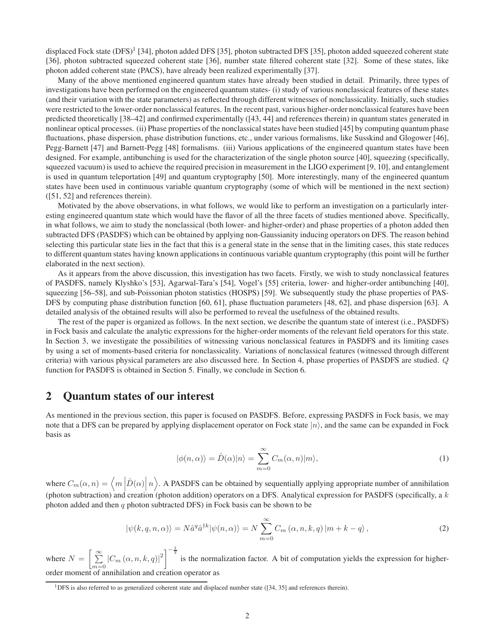displaced Fock state (DFS)<sup>1</sup> [34], photon added DFS [35], photon subtracted DFS [35], photon added squeezed coherent state [36], photon subtracted squeezed coherent state [36], number state filtered coherent state [32]. Some of these states, like photon added coherent state (PACS), have already been realized experimentally [37].

Many of the above mentioned engineered quantum states have already been studied in detail. Primarily, three types of investigations have been performed on the engineered quantum states- (i) study of various nonclassical features of these states (and their variation with the state parameters) as reflected through different witnesses of nonclassicality. Initially, such studies were restricted to the lower-order nonclassical features. In the recent past, various higher-order nonclassical features have been predicted theoretically [38–42] and confirmed experimentally ([43, 44] and references therein) in quantum states generated in nonlinear optical processes. (ii) Phase properties of the nonclassical states have been studied [45] by computing quantum phase fluctuations, phase dispersion, phase distribution functions, etc., under various formalisms, like Susskind and Glogower [46], Pegg-Barnett [47] and Barnett-Pegg [48] formalisms. (iii) Various applications of the engineered quantum states have been designed. For example, antibunching is used for the characterization of the single photon source [40], squeezing (specifically, squeezed vacuum) is used to achieve the required precision in measurement in the LIGO experiment [9, 10], and entanglement is used in quantum teleportation [49] and quantum cryptography [50]. More interestingly, many of the engineered quantum states have been used in continuous variable quantum cryptography (some of which will be mentioned in the next section) ([51, 52] and references therein).

Motivated by the above observations, in what follows, we would like to perform an investigation on a particularly interesting engineered quantum state which would have the flavor of all the three facets of studies mentioned above. Specifically, in what follows, we aim to study the nonclassical (both lower- and higher-order) and phase properties of a photon added then subtracted DFS (PASDFS) which can be obtained by applying non-Gaussianity inducing operators on DFS. The reason behind selecting this particular state lies in the fact that this is a general state in the sense that in the limiting cases, this state reduces to different quantum states having known applications in continuous variable quantum cryptography (this point will be further elaborated in the next section).

As it appears from the above discussion, this investigation has two facets. Firstly, we wish to study nonclassical features of PASDFS, namely Klyshko's [53], Agarwal-Tara's [54], Vogel's [55] criteria, lower- and higher-order antibunching [40], squeezing [56–58], and sub-Poissonian photon statistics (HOSPS) [59]. We subsequently study the phase properties of PAS-DFS by computing phase distribution function [60, 61], phase fluctuation parameters [48, 62], and phase dispersion [63]. A detailed analysis of the obtained results will also be performed to reveal the usefulness of the obtained results.

The rest of the paper is organized as follows. In the next section, we describe the quantum state of interest (i.e., PASDFS) in Fock basis and calculate the analytic expressions for the higher-order moments of the relevant field operators for this state. In Section 3, we investigate the possibilities of witnessing various nonclassical features in PASDFS and its limiting cases by using a set of moments-based criteria for nonclassicality. Variations of nonclassical features (witnessed through different criteria) with various physical parameters are also discussed here. In Section 4, phase properties of PASDFS are studied. Q function for PASDFS is obtained in Section 5. Finally, we conclude in Section 6.

### 2 Quantum states of our interest

As mentioned in the previous section, this paper is focused on PASDFS. Before, expressing PASDFS in Fock basis, we may note that a DFS can be prepared by applying displacement operator on Fock state  $|n\rangle$ , and the same can be expanded in Fock basis as

$$
|\phi(n,\alpha)\rangle = \hat{D}(\alpha)|n\rangle = \sum_{m=0}^{\infty} C_m(\alpha,n)|m\rangle,
$$
\n(1)

where  $C_m(\alpha, n) = \left\langle m \left| \hat{D}(\alpha) \right| n \right\rangle$ . A PASDFS can be obtained by sequentially applying appropriate number of annihilation (charge in a little point) of the setting of the setting of the setting of the setting of the (photon subtraction) and creation (photon addition) operators on a DFS. Analytical expression for PASDFS (specifically, a k photon added and then q photon subtracted DFS) in Fock basis can be shown to be

$$
|\psi(k,q,n,\alpha)\rangle = N\hat{a}^{q}\hat{a}^{\dagger k}|\psi(n,\alpha)\rangle = N\sum_{m=0}^{\infty}C_{m}\left(\alpha,n,k,q\right)|m+k-q\rangle, \tag{2}
$$

where  $N = \left[\begin{array}{c} \infty \\ \sum \end{array}\right]$  $\sum_{m=0}^{\infty} |C_m(\alpha, n, k, q)|^2 \right]^{-\frac{1}{2}}$  is the normalization factor. A bit of computation yields the expression for higherorder moment of annihilation and creation operator as

 $1$ DFS is also referred to as generalized coherent state and displaced number state ([34, 35] and references therein).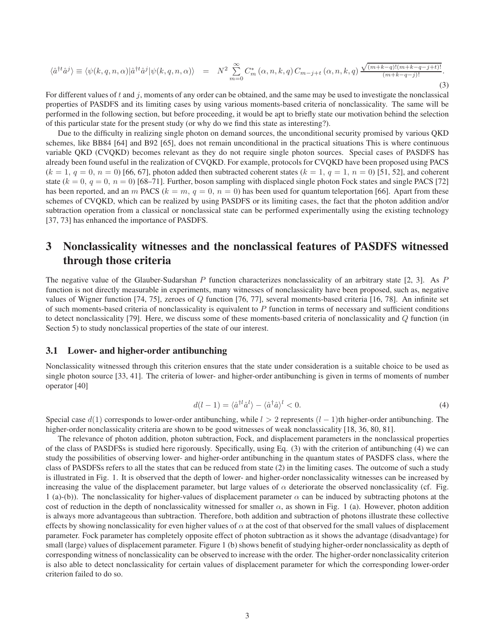$$
\langle \hat{a}^{\dagger t} \hat{a}^{j} \rangle \equiv \langle \psi(k,q,n,\alpha) | \hat{a}^{\dagger t} \hat{a}^{j} | \psi(k,q,n,\alpha) \rangle = N^{2} \sum_{m=0}^{\infty} C_{m}^{*} (\alpha, n, k, q) C_{m-j+t} (\alpha, n, k, q) \frac{\sqrt{(m+k-q)!(m+k-q-j+t)!}}{(m+k-q-j)!}.
$$
\n(3)

For different values of t and j, moments of any order can be obtained, and the same may be used to investigate the nonclassical properties of PASDFS and its limiting cases by using various moments-based criteria of nonclassicality. The same will be performed in the following section, but before proceeding, it would be apt to briefly state our motivation behind the selection of this particular state for the present study (or why do we find this state as interesting?).

Due to the difficulty in realizing single photon on demand sources, the unconditional security promised by various QKD schemes, like BB84 [64] and B92 [65], does not remain unconditional in the practical situations This is where continuous variable QKD (CVQKD) becomes relevant as they do not require single photon sources. Special cases of PASDFS has already been found useful in the realization of CVQKD. For example, protocols for CVQKD have been proposed using PACS  $(k = 1, q = 0, n = 0)$  [66, 67], photon added then subtracted coherent states  $(k = 1, q = 1, n = 0)$  [51, 52], and coherent state  $(k = 0, q = 0, n = 0)$  [68–71]. Further, boson sampling with displaced single photon Fock states and single PACS [72] has been reported, and an m PACS ( $k = m$ ,  $q = 0$ ,  $n = 0$ ) has been used for quantum teleportation [66]. Apart from these schemes of CVQKD, which can be realized by using PASDFS or its limiting cases, the fact that the photon addition and/or subtraction operation from a classical or nonclassical state can be performed experimentally using the existing technology [37, 73] has enhanced the importance of PASDFS.

# 3 Nonclassicality witnesses and the nonclassical features of PASDFS witnessed through those criteria

The negative value of the Glauber-Sudarshan  $P$  function characterizes nonclassicality of an arbitrary state [2, 3]. As  $P$ function is not directly measurable in experiments, many witnesses of nonclassicality have been proposed, such as, negative values of Wigner function [74, 75], zeroes of Q function [76, 77], several moments-based criteria [16, 78]. An infinite set of such moments-based criteria of nonclassicality is equivalent to P function in terms of necessary and sufficient conditions to detect nonclassicality [79]. Here, we discuss some of these moments-based criteria of nonclassicality and  $Q$  function (in Section 5) to study nonclassical properties of the state of our interest.

#### 3.1 Lower- and higher-order antibunching

Nonclassicality witnessed through this criterion ensures that the state under consideration is a suitable choice to be used as single photon source [33, 41]. The criteria of lower- and higher-order antibunching is given in terms of moments of number operator [40]

$$
d(l-1) = \langle \hat{a}^{\dagger l} \hat{a}^l \rangle - \langle \hat{a}^{\dagger} \hat{a} \rangle^l < 0. \tag{4}
$$

Special case  $d(1)$  corresponds to lower-order antibunching, while  $l > 2$  represents  $(l-1)$ th higher-order antibunching. The higher-order nonclassicality criteria are shown to be good witnesses of weak nonclassicality [18, 36, 80, 81].

The relevance of photon addition, photon subtraction, Fock, and displacement parameters in the nonclassical properties of the class of PASDFSs is studied here rigorously. Specifically, using Eq. (3) with the criterion of antibunching (4) we can study the possibilities of observing lower- and higher-order antibunching in the quantum states of PASDFS class, where the class of PASDFSs refers to all the states that can be reduced from state (2) in the limiting cases. The outcome of such a study is illustrated in Fig. 1. It is observed that the depth of lower- and higher-order nonclassicality witnesses can be increased by increasing the value of the displacement parameter, but large values of  $\alpha$  deteriorate the observed nonclassicality (cf. Fig. 1 (a)-(b)). The nonclassicality for higher-values of displacement parameter  $\alpha$  can be induced by subtracting photons at the cost of reduction in the depth of nonclassicality witnessed for smaller  $\alpha$ , as shown in Fig. 1 (a). However, photon addition is always more advantageous than subtraction. Therefore, both addition and subtraction of photons illustrate these collective effects by showing nonclassicality for even higher values of  $\alpha$  at the cost of that observed for the small values of displacement parameter. Fock parameter has completely opposite effect of photon subtraction as it shows the advantage (disadvantage) for small (large) values of displacement parameter. Figure 1 (b) shows benefit of studying higher-order nonclassicality as depth of corresponding witness of nonclassicality can be observed to increase with the order. The higher-order nonclassicality criterion is also able to detect nonclassicality for certain values of displacement parameter for which the corresponding lower-order criterion failed to do so.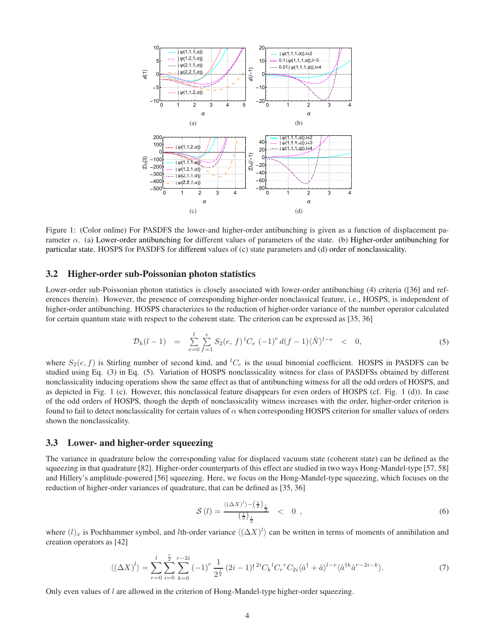

Figure 1: (Color online) For PASDFS the lower-and higher-order antibunching is given as a function of displacement parameter  $\alpha$ . (a) Lower-order antibunching for different values of parameters of the state. (b) Higher-order antibunching for particular state. HOSPS for PASDFS for different values of (c) state parameters and (d) order of nonclassicality.

#### 3.2 Higher-order sub-Poissonian photon statistics

Lower-order sub-Poissonian photon statistics is closely associated with lower-order antibunching (4) criteria ([36] and references therein). However, the presence of corresponding higher-order nonclassical feature, i.e., HOSPS, is independent of higher-order antibunching. HOSPS characterizes to the reduction of higher-order variance of the number operator calculated for certain quantum state with respect to the coherent state. The criterion can be expressed as [35, 36]

$$
\mathcal{D}_h(l-1) = \sum_{e=0}^l \sum_{f=1}^e S_2(e,f)^l C_e (-1)^e d(f-1) \langle \hat{N} \rangle^{l-e} < 0, \tag{5}
$$

where  $S_2(e, f)$  is Stirling number of second kind, and  ${}^lC_e$  is the usual binomial coefficient. HOSPS in PASDFS can be studied using Eq. (3) in Eq. (5). Variation of HOSPS nonclassicality witness for class of PASDFSs obtained by different nonclassicality inducing operations show the same effect as that of antibunching witness for all the odd orders of HOSPS, and as depicted in Fig. 1 (c). However, this nonclassical feature disappears for even orders of HOSPS (cf. Fig. 1 (d)). In case of the odd orders of HOSPS, though the depth of nonclassicality witness increases with the order, higher-order criterion is found to fail to detect nonclassicality for certain values of  $\alpha$  when corresponding HOSPS criterion for smaller values of orders shown the nonclassicality.

#### 3.3 Lower- and higher-order squeezing

The variance in quadrature below the corresponding value for displaced vacuum state (coherent state) can be defined as the squeezing in that quadrature [82]. Higher-order counterparts of this effect are studied in two ways Hong-Mandel-type [57, 58] and Hillery's amplitude-powered [56] squeezing. Here, we focus on the Hong-Mandel-type squeezing, which focuses on the reduction of higher-order variances of quadrature, that can be defined as [35, 36]

$$
S(l) = \frac{\left(\left(\Delta X\right)^{l}\right) - \left(\frac{1}{2}\right)_{\frac{l}{2}}}{\left(\frac{1}{2}\right)_{\frac{l}{2}}} < 0 \tag{6}
$$

where  $(l)_x$  is Pochhammer symbol, and *l*th-order variance  $\langle (\Delta X)^l \rangle$  can be written in terms of moments of annihilation and creation operators as [42]

$$
\langle (\Delta X)^l \rangle = \sum_{r=0}^l \sum_{i=0}^{\frac{r}{2}} \sum_{k=0}^{r-2i} (-1)^r \frac{1}{2^{\frac{1}{2}}} (2i-1)! \, {}^{2i}C_k{}^l C_r{}^r C_{2i} \langle \hat{a}^\dagger + \hat{a} \rangle^{l-r} \langle \hat{a}^{\dagger k} \hat{a}^{r-2i-k} \rangle. \tag{7}
$$

Only even values of  $l$  are allowed in the criterion of Hong-Mandel-type higher-order squeezing.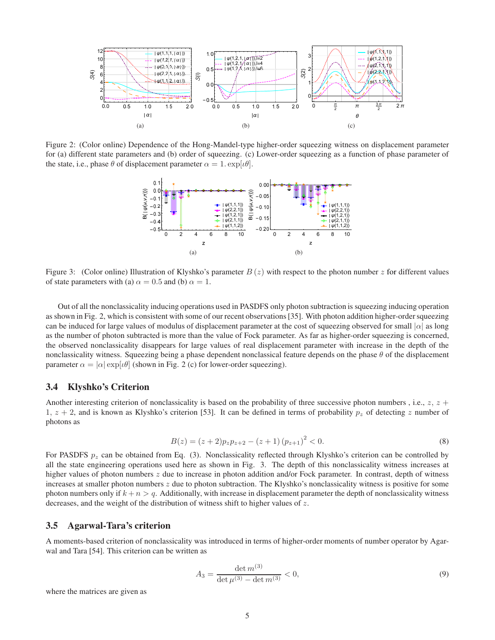

Figure 2: (Color online) Dependence of the Hong-Mandel-type higher-order squeezing witness on displacement parameter for (a) different state parameters and (b) order of squeezing. (c) Lower-order squeezing as a function of phase parameter of the state, i.e., phase  $\theta$  of displacement parameter  $\alpha = 1$ .  $\exp[i\theta]$ .



Figure 3: (Color online) Illustration of Klyshko's parameter  $B(z)$  with respect to the photon number z for different values of state parameters with (a)  $\alpha = 0.5$  and (b)  $\alpha = 1$ .

Out of all the nonclassicality inducing operations used in PASDFS only photon subtraction is squeezing inducing operation as shown in Fig. 2, which is consistent with some of our recent observations [35]. With photon addition higher-order squeezing can be induced for large values of modulus of displacement parameter at the cost of squeezing observed for small  $|\alpha|$  as long as the number of photon subtracted is more than the value of Fock parameter. As far as higher-order squeezing is concerned, the observed nonclassicality disappears for large values of real displacement parameter with increase in the depth of the nonclassicality witness. Squeezing being a phase dependent nonclassical feature depends on the phase  $\theta$  of the displacement parameter  $\alpha = |\alpha| \exp(i\theta)$  (shown in Fig. 2 (c) for lower-order squeezing).

#### 3.4 Klyshko's Criterion

Another interesting criterion of nonclassicality is based on the probability of three successive photon numbers, i.e.,  $z$ ,  $z +$ 1,  $z + 2$ , and is known as Klyshko's criterion [53]. It can be defined in terms of probability  $p<sub>z</sub>$  of detecting z number of photons as

$$
B(z) = (z+2)p_z p_{z+2} - (z+1) (p_{z+1})^2 < 0.
$$
\n(8)

For PASDFS  $p_z$  can be obtained from Eq. (3). Nonclassicality reflected through Klyshko's criterion can be controlled by all the state engineering operations used here as shown in Fig. 3. The depth of this nonclassicality witness increases at higher values of photon numbers z due to increase in photon addition and/or Fock parameter. In contrast, depth of witness increases at smaller photon numbers z due to photon subtraction. The Klyshko's nonclassicality witness is positive for some photon numbers only if  $k + n > q$ . Additionally, with increase in displacement parameter the depth of nonclassicality witness decreases, and the weight of the distribution of witness shift to higher values of z.

#### 3.5 Agarwal-Tara's criterion

A moments-based criterion of nonclassicality was introduced in terms of higher-order moments of number operator by Agarwal and Tara [54]. This criterion can be written as

$$
A_3 = \frac{\det m^{(3)}}{\det \mu^{(3)} - \det m^{(3)}} < 0,\tag{9}
$$

where the matrices are given as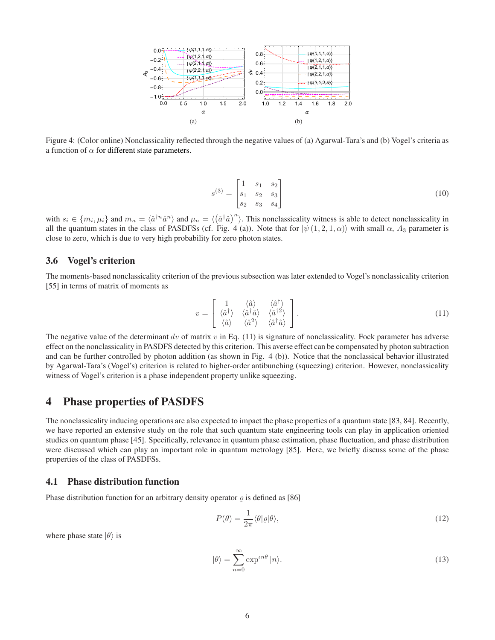

Figure 4: (Color online) Nonclassicality reflected through the negative values of (a) Agarwal-Tara's and (b) Vogel's criteria as a function of  $\alpha$  for different state parameters.

$$
s^{(3)} = \begin{bmatrix} 1 & s_1 & s_2 \\ s_1 & s_2 & s_3 \\ s_2 & s_3 & s_4 \end{bmatrix}
$$
 (10)

with  $s_i \in \{m_i, \mu_i\}$  and  $m_n = \langle \hat{a}^{\dagger n} \hat{a}^n \rangle$  and  $\mu_n = \langle (\hat{a}^{\dagger} \hat{a})^n \rangle$ . This nonclassicality witness is able to detect nonclassicality in all the quantum states in the class of PASDFSs (cf. Fig. 4 (a)). Note that for  $|\psi(1, 2, 1, \alpha)\rangle$  with small  $\alpha$ ,  $A_3$  parameter is close to zero, which is due to very high probability for zero photon states.

#### 3.6 Vogel's criterion

The moments-based nonclassicality criterion of the previous subsection was later extended to Vogel's nonclassicality criterion [55] in terms of matrix of moments as

$$
v = \begin{bmatrix} 1 & \langle \hat{a} \rangle & \langle \hat{a}^{\dagger} \rangle \\ \langle \hat{a}^{\dagger} \rangle & \langle \hat{a}^{\dagger} \hat{a} \rangle & \langle \hat{a}^{\dagger 2} \rangle \\ \langle \hat{a} \rangle & \langle \hat{a}^2 \rangle & \langle \hat{a}^{\dagger} \hat{a} \rangle \end{bmatrix} . \tag{11}
$$

The negative value of the determinant dv of matrix v in Eq. (11) is signature of nonclassicality. Fock parameter has adverse effect on the nonclassicality in PASDFS detected by this criterion. This averse effect can be compensated by photon subtraction and can be further controlled by photon addition (as shown in Fig. 4 (b)). Notice that the nonclassical behavior illustrated by Agarwal-Tara's (Vogel's) criterion is related to higher-order antibunching (squeezing) criterion. However, nonclassicality witness of Vogel's criterion is a phase independent property unlike squeezing.

# 4 Phase properties of PASDFS

The nonclassicality inducing operations are also expected to impact the phase properties of a quantum state [83, 84]. Recently, we have reported an extensive study on the role that such quantum state engineering tools can play in application oriented studies on quantum phase [45]. Specifically, relevance in quantum phase estimation, phase fluctuation, and phase distribution were discussed which can play an important role in quantum metrology [85]. Here, we briefly discuss some of the phase properties of the class of PASDFSs.

#### 4.1 Phase distribution function

Phase distribution function for an arbitrary density operator  $\rho$  is defined as [86]

$$
P(\theta) = \frac{1}{2\pi} \langle \theta | \varrho | \theta \rangle,\tag{12}
$$

where phase state  $|\theta\rangle$  is

$$
|\theta\rangle = \sum_{n=0}^{\infty} \exp^{in\theta} |n\rangle.
$$
 (13)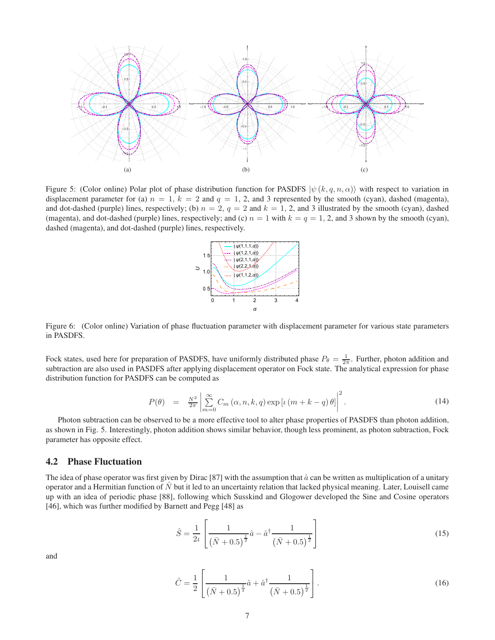

Figure 5: (Color online) Polar plot of phase distribution function for PASDFS  $|\psi(k, q, n, \alpha)\rangle$  with respect to variation in displacement parameter for (a)  $n = 1$ ,  $k = 2$  and  $q = 1, 2$ , and 3 represented by the smooth (cyan), dashed (magenta), and dot-dashed (purple) lines, respectively; (b)  $n = 2$ ,  $q = 2$  and  $k = 1, 2$ , and 3 illustrated by the smooth (cyan), dashed (magenta), and dot-dashed (purple) lines, respectively; and (c)  $n = 1$  with  $k = q = 1, 2$ , and 3 shown by the smooth (cyan), dashed (magenta), and dot-dashed (purple) lines, respectively.



Figure 6: (Color online) Variation of phase fluctuation parameter with displacement parameter for various state parameters in PASDFS.

Fock states, used here for preparation of PASDFS, have uniformly distributed phase  $P_{\theta} = \frac{1}{2\pi}$ . Further, photon addition and subtraction are also used in PASDFS after applying displacement operator on Fock state. The analytical expression for phase distribution function for PASDFS can be computed as

$$
P(\theta) = \frac{N^2}{2\pi} \left| \sum_{m=0}^{\infty} C_m(\alpha, n, k, q) \exp\left[\iota\left(m + k - q\right)\theta\right] \right|^2.
$$
 (14)

Photon subtraction can be observed to be a more effective tool to alter phase properties of PASDFS than photon addition, as shown in Fig. 5. Interestingly, photon addition shows similar behavior, though less prominent, as photon subtraction, Fock parameter has opposite effect.

#### 4.2 Phase Fluctuation

The idea of phase operator was first given by Dirac [87] with the assumption that  $\hat{a}$  can be written as multiplication of a unitary operator and a Hermitian function of  $\tilde{N}$  but it led to an uncertainty relation that lacked physical meaning. Later, Louisell came up with an idea of periodic phase [88], following which Susskind and Glogower developed the Sine and Cosine operators [46], which was further modified by Barnett and Pegg [48] as

$$
\hat{S} = \frac{1}{2\iota} \left[ \frac{1}{\left(\bar{N} + 0.5\right)^{\frac{1}{2}}} \hat{a} - \hat{a}^{\dagger} \frac{1}{\left(\bar{N} + 0.5\right)^{\frac{1}{2}}} \right]
$$
(15)

and

$$
\hat{C} = \frac{1}{2} \left[ \frac{1}{\left(\bar{N} + 0.5\right)^{\frac{1}{2}}} \hat{a} + \hat{a}^{\dagger} \frac{1}{\left(\bar{N} + 0.5\right)^{\frac{1}{2}}} \right].
$$
\n(16)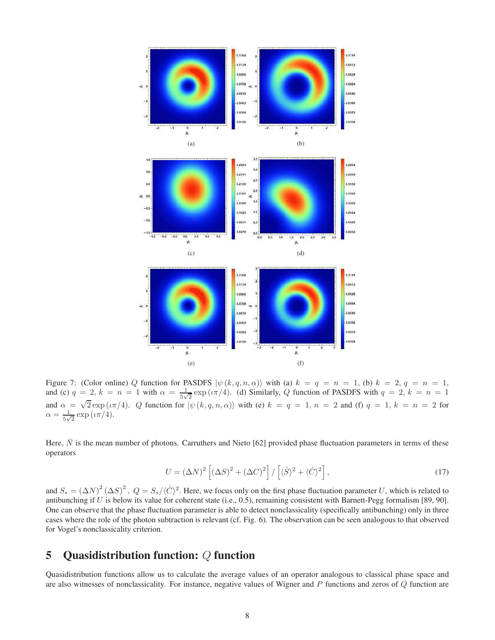

Figure 7: (Color online) Q function for PASDFS  $|\psi(k,q,n,\alpha)\rangle$  with (a)  $k = q = n = 1$ , (b)  $k = 2, q = n = 1$ , and (c)  $q = 2$ ,  $k = n = 1$  with  $\alpha = \frac{1}{5\sqrt{2}} \exp(\iota \pi/4)$ . (d) Similarly, Q function of PASDFS with  $q = 2$ ,  $k = n = 1$ and  $\alpha = \sqrt{2} \exp(\ell \pi/4)$ . Q function for  $|\psi(k,q,n,\alpha)\rangle$  with (e)  $k = q = 1, n = 2$  and (f)  $q = 1, k = n = 2$  for  $\alpha = \frac{1}{5}$  $\frac{1}{5\sqrt{2}}\exp\left(\frac{\iota\pi}{4}\right).$ 

Here,  $N$  is the mean number of photons. Carruthers and Nieto  $[62]$  provided phase fluctuation parameters in terms of these operators

$$
U = (\Delta N)^2 \left[ (\Delta S)^2 + (\Delta C)^2 \right] / \left[ \langle \hat{S} \rangle^2 + \langle \hat{C} \rangle^2 \right],\tag{17}
$$

and  $S_s = (\Delta N)^2 (\Delta S)^2$ ,  $Q = S_s / \langle \hat{C} \rangle^2$ . Here, we focus only on the first phase fluctuation parameter U, which is related to antibunching if  $U$  is below its value for coherent state (i.e., 0.5), remaining consistent with Barnett-Pegg formalism [89, 90]. One can observe that the phase fluctuation parameter is able to detect nonclassicality (specifically antibunching) only in three cases where the role of the photon subtraction is relevant (cf. Fig. 6). The observation can be seen analogous to that observed for Vogel's nonclassicality criterion.

# 5 Quasidistribution function: Q function

Quasidistribution functions allow us to calculate the average values of an operator analogous to classical phase space and are also witnesses of nonclassicality. For instance, negative values of Wigner and  $P$  functions and zeros of  $Q$  function are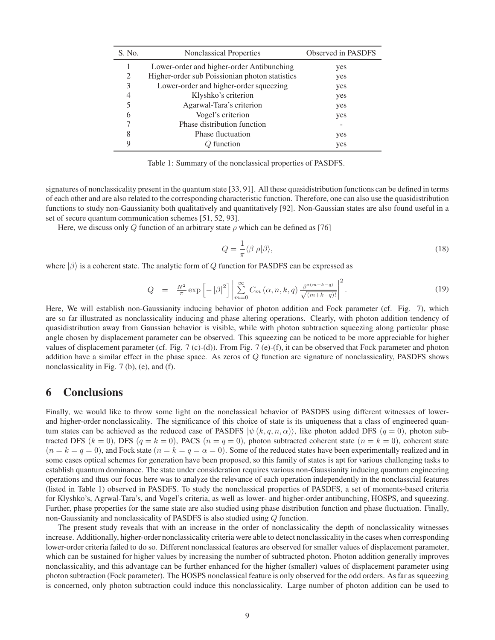| S. No.         | Nonclassical Properties                        | Observed in PASDFS |
|----------------|------------------------------------------------|--------------------|
|                | Lower-order and higher-order Antibunching      | yes                |
| 2              | Higher-order sub Poissionian photon statistics | yes                |
| 3              | Lower-order and higher-order squeezing         | yes                |
| $\overline{4}$ | Klyshko's criterion                            | yes                |
|                | Agarwal-Tara's criterion                       | yes                |
| 6              | Vogel's criterion                              | yes                |
|                | Phase distribution function                    |                    |
| 8              | Phase fluctuation                              | yes                |
|                | $\Omega$ function                              | yes                |
|                |                                                |                    |

Table 1: Summary of the nonclassical properties of PASDFS.

signatures of nonclassicality present in the quantum state [33, 91]. All these quasidistribution functions can be defined in terms of each other and are also related to the corresponding characteristic function. Therefore, one can also use the quasidistribution functions to study non-Gaussianity both qualitatively and quantitatively [92]. Non-Gaussian states are also found useful in a set of secure quantum communication schemes [51, 52, 93].

Here, we discuss only Q function of an arbitrary state  $\rho$  which can be defined as [76]

$$
Q = \frac{1}{\pi} \langle \beta | \rho | \beta \rangle,\tag{18}
$$

where  $|\beta\rangle$  is a coherent state. The analytic form of Q function for PASDFS can be expressed as

$$
Q = \frac{N^2}{\pi} \exp\left[-\left|\beta\right|^2\right] \left|\sum_{m=0}^{\infty} C_m\left(\alpha, n, k, q\right) \frac{\beta^{*(m+k-q)}}{\sqrt{(m+k-q)!}}\right|^2.
$$
 (19)

Here, We will establish non-Gaussianity inducing behavior of photon addition and Fock parameter (cf. Fig. 7), which are so far illustrated as nonclassicality inducing and phase altering operations. Clearly, with photon addition tendency of quasidistribution away from Gaussian behavior is visible, while with photon subtraction squeezing along particular phase angle chosen by displacement parameter can be observed. This squeezing can be noticed to be more appreciable for higher values of displacement parameter (cf. Fig. 7 (c)-(d)). From Fig. 7 (e)-(f), it can be observed that Fock parameter and photon addition have a similar effect in the phase space. As zeros of Q function are signature of nonclassicality, PASDFS shows nonclassicality in Fig. 7 (b), (e), and (f).

### 6 Conclusions

Finally, we would like to throw some light on the nonclassical behavior of PASDFS using different witnesses of lowerand higher-order nonclassicality. The significance of this choice of state is its uniqueness that a class of engineered quantum states can be achieved as the reduced case of PASDFS  $|\psi(k, q, n, \alpha)\rangle$ , like photon added DFS  $(q = 0)$ , photon subtracted DFS  $(k = 0)$ , DFS  $(q = k = 0)$ , PACS  $(n = q = 0)$ , photon subtracted coherent state  $(n = k = 0)$ , coherent state  $(n = k = q = 0)$ , and Fock state  $(n = k = q = \alpha = 0)$ . Some of the reduced states have been experimentally realized and in some cases optical schemes for generation have been proposed, so this family of states is apt for various challenging tasks to establish quantum dominance. The state under consideration requires various non-Gaussianity inducing quantum engineering operations and thus our focus here was to analyze the relevance of each operation independently in the nonclasscial features (listed in Table 1) observed in PASDFS. To study the nonclassical properties of PASDFS, a set of moments-based criteria for Klyshko's, Agrwal-Tara's, and Vogel's criteria, as well as lower- and higher-order antibunching, HOSPS, and squeezing. Further, phase properties for the same state are also studied using phase distribution function and phase fluctuation. Finally, non-Gaussianity and nonclassicality of PASDFS is also studied using Q function.

The present study reveals that with an increase in the order of nonclassicality the depth of nonclassicality witnesses increase. Additionally, higher-order nonclassicality criteria were able to detect nonclassicality in the cases when corresponding lower-order criteria failed to do so. Different nonclassical features are observed for smaller values of displacement parameter, which can be sustained for higher values by increasing the number of subtracted photon. Photon addition generally improves nonclassicality, and this advantage can be further enhanced for the higher (smaller) values of displacement parameter using photon subtraction (Fock parameter). The HOSPS nonclassical feature is only observed for the odd orders. As far as squeezing is concerned, only photon subtraction could induce this nonclassicality. Large number of photon addition can be used to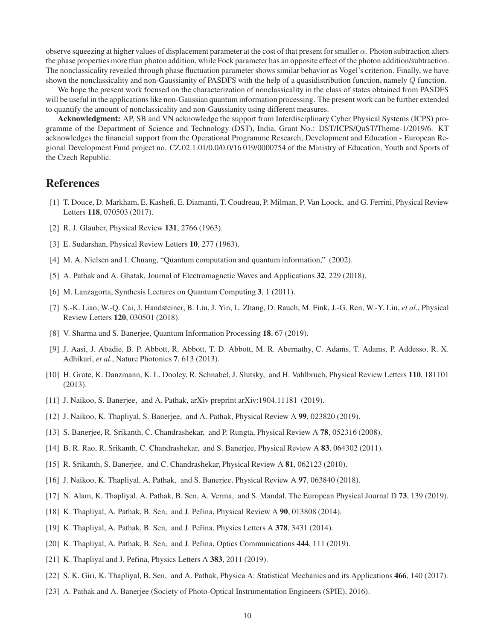observe squeezing at higher values of displacement parameter at the cost of that present for smaller  $\alpha$ . Photon subtraction alters the phase properties more than photon addition, while Fock parameter has an opposite effect of the photon addition/subtraction. The nonclassicality revealed through phase fluctuation parameter shows similar behavior as Vogel's criterion. Finally, we have shown the nonclassicality and non-Gaussianity of PASDFS with the help of a quasidistribution function, namely Q function.

We hope the present work focused on the characterization of nonclassicality in the class of states obtained from PASDFS will be useful in the applications like non-Gaussian quantum information processing. The present work can be further extended to quantify the amount of nonclassicality and non-Gaussianity using different measures.

Acknowledgment: AP, SB and VN acknowledge the support from Interdisciplinary Cyber Physical Systems (ICPS) programme of the Department of Science and Technology (DST), India, Grant No.: DST/ICPS/QuST/Theme-1/2019/6. KT acknowledges the financial support from the Operational Programme Research, Development and Education - European Regional Development Fund project no. CZ.02.1.01/0.0/0.0/16 019/0000754 of the Ministry of Education, Youth and Sports of the Czech Republic.

# References

- [1] T. Douce, D. Markham, E. Kashefi, E. Diamanti, T. Coudreau, P. Milman, P. Van Loock, and G. Ferrini, Physical Review Letters 118, 070503 (2017).
- [2] R. J. Glauber, Physical Review 131, 2766 (1963).
- [3] E. Sudarshan, Physical Review Letters 10, 277 (1963).
- [4] M. A. Nielsen and I. Chuang, "Quantum computation and quantum information," (2002).
- [5] A. Pathak and A. Ghatak, Journal of Electromagnetic Waves and Applications 32, 229 (2018).
- [6] M. Lanzagorta, Synthesis Lectures on Quantum Computing 3, 1 (2011).
- [7] S.-K. Liao, W.-Q. Cai, J. Handsteiner, B. Liu, J. Yin, L. Zhang, D. Rauch, M. Fink, J.-G. Ren, W.-Y. Liu, *et al.*, Physical Review Letters 120, 030501 (2018).
- [8] V. Sharma and S. Banerjee, Quantum Information Processing 18, 67 (2019).
- [9] J. Aasi, J. Abadie, B. P. Abbott, R. Abbott, T. D. Abbott, M. R. Abernathy, C. Adams, T. Adams, P. Addesso, R. X. Adhikari, *et al.*, Nature Photonics 7, 613 (2013).
- [10] H. Grote, K. Danzmann, K. L. Dooley, R. Schnabel, J. Slutsky, and H. Vahlbruch, Physical Review Letters 110, 181101 (2013).
- [11] J. Naikoo, S. Banerjee, and A. Pathak, arXiv preprint arXiv:1904.11181 (2019).
- [12] J. Naikoo, K. Thapliyal, S. Banerjee, and A. Pathak, Physical Review A 99, 023820 (2019).
- [13] S. Banerjee, R. Srikanth, C. Chandrashekar, and P. Rungta, Physical Review A 78, 052316 (2008).
- [14] B. R. Rao, R. Srikanth, C. Chandrashekar, and S. Banerjee, Physical Review A 83, 064302 (2011).
- [15] R. Srikanth, S. Banerjee, and C. Chandrashekar, Physical Review A 81, 062123 (2010).
- [16] J. Naikoo, K. Thapliyal, A. Pathak, and S. Banerjee, Physical Review A 97, 063840 (2018).
- [17] N. Alam, K. Thapliyal, A. Pathak, B. Sen, A. Verma, and S. Mandal, The European Physical Journal D 73, 139 (2019).
- [18] K. Thapliyal, A. Pathak, B. Sen, and J. Peˇrina, Physical Review A 90, 013808 (2014).
- [19] K. Thapliyal, A. Pathak, B. Sen, and J. Peřina, Physics Letters A 378, 3431 (2014).
- [20] K. Thapliyal, A. Pathak, B. Sen, and J. Peřina, Optics Communications 444, 111 (2019).
- [21] K. Thapliyal and J. Peřina, Physics Letters A 383, 2011 (2019).
- [22] S. K. Giri, K. Thapliyal, B. Sen, and A. Pathak, Physica A: Statistical Mechanics and its Applications 466, 140 (2017).
- [23] A. Pathak and A. Banerjee (Society of Photo-Optical Instrumentation Engineers (SPIE), 2016).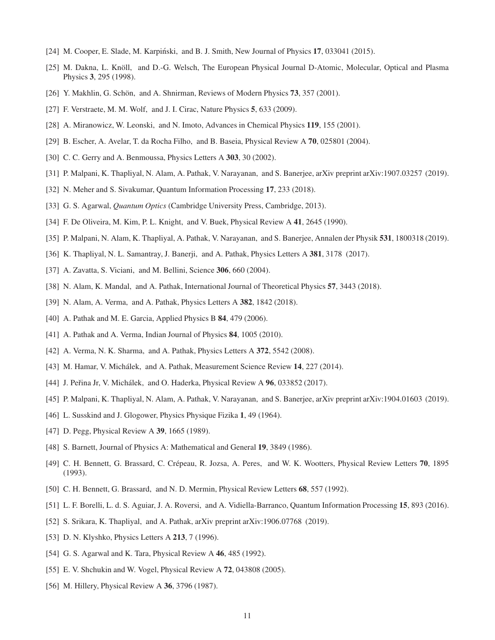- $[24]$  M. Cooper, E. Slade, M. Karpinski, and B. J. Smith, New Journal of Physics  $17$ , 033041 (2015).
- [25] M. Dakna, L. Knöll, and D.-G. Welsch, The European Physical Journal D-Atomic, Molecular, Optical and Plasma Physics 3, 295 (1998).
- [26] Y. Makhlin, G. Schön, and A. Shnirman, Reviews of Modern Physics 73, 357 (2001).
- [27] F. Verstraete, M. M. Wolf, and J. I. Cirac, Nature Physics 5, 633 (2009).
- [28] A. Miranowicz, W. Leonski, and N. Imoto, Advances in Chemical Physics 119, 155 (2001).
- [29] B. Escher, A. Avelar, T. da Rocha Filho, and B. Baseia, Physical Review A 70, 025801 (2004).
- [30] C. C. Gerry and A. Benmoussa, Physics Letters A 303, 30 (2002).
- [31] P. Malpani, K. Thapliyal, N. Alam, A. Pathak, V. Narayanan, and S. Banerjee, arXiv preprint arXiv:1907.03257 (2019).
- [32] N. Meher and S. Sivakumar, Quantum Information Processing 17, 233 (2018).
- [33] G. S. Agarwal, *Quantum Optics* (Cambridge University Press, Cambridge, 2013).
- [34] F. De Oliveira, M. Kim, P. L. Knight, and V. Buek, Physical Review A 41, 2645 (1990).
- [35] P. Malpani, N. Alam, K. Thapliyal, A. Pathak, V. Narayanan, and S. Banerjee, Annalen der Physik 531, 1800318 (2019).
- [36] K. Thapliyal, N. L. Samantray, J. Banerji, and A. Pathak, Physics Letters A 381, 3178 (2017).
- [37] A. Zavatta, S. Viciani, and M. Bellini, Science 306, 660 (2004).
- [38] N. Alam, K. Mandal, and A. Pathak, International Journal of Theoretical Physics 57, 3443 (2018).
- [39] N. Alam, A. Verma, and A. Pathak, Physics Letters A 382, 1842 (2018).
- [40] A. Pathak and M. E. Garcia, Applied Physics B 84, 479 (2006).
- [41] A. Pathak and A. Verma, Indian Journal of Physics **84**, 1005 (2010).
- [42] A. Verma, N. K. Sharma, and A. Pathak, Physics Letters A 372, 5542 (2008).
- [43] M. Hamar, V. Michálek, and A. Pathak, Measurement Science Review 14, 227 (2014).
- [44] J. Peřina Jr, V. Michálek, and O. Haderka, Physical Review A 96, 033852 (2017).
- [45] P. Malpani, K. Thapliyal, N. Alam, A. Pathak, V. Narayanan, and S. Banerjee, arXiv preprint arXiv:1904.01603 (2019).
- [46] L. Susskind and J. Glogower, Physics Physique Fizika 1, 49 (1964).
- [47] D. Pegg, Physical Review A 39, 1665 (1989).
- [48] S. Barnett, Journal of Physics A: Mathematical and General 19, 3849 (1986).
- [49] C. H. Bennett, G. Brassard, C. Crépeau, R. Jozsa, A. Peres, and W. K. Wootters, Physical Review Letters 70, 1895 (1993).
- [50] C. H. Bennett, G. Brassard, and N. D. Mermin, Physical Review Letters 68, 557 (1992).
- [51] L. F. Borelli, L. d. S. Aguiar, J. A. Roversi, and A. Vidiella-Barranco, Quantum Information Processing 15, 893 (2016).
- [52] S. Srikara, K. Thapliyal, and A. Pathak, arXiv preprint arXiv:1906.07768 (2019).
- [53] D. N. Klyshko, Physics Letters A 213, 7 (1996).
- [54] G. S. Agarwal and K. Tara, Physical Review A 46, 485 (1992).
- [55] E. V. Shchukin and W. Vogel, Physical Review A 72, 043808 (2005).
- [56] M. Hillery, Physical Review A 36, 3796 (1987).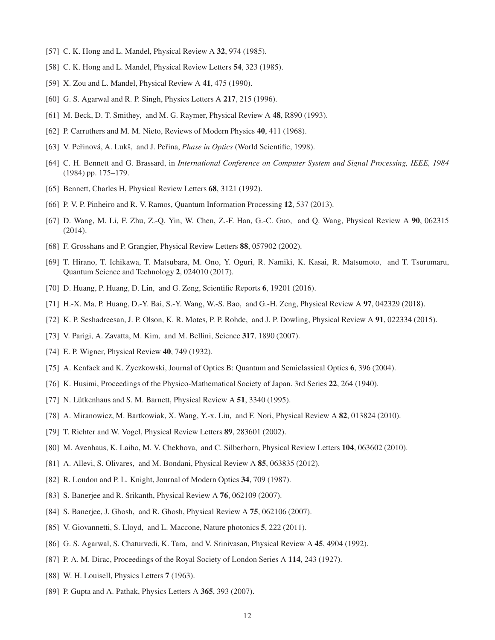- [57] C. K. Hong and L. Mandel, Physical Review A 32, 974 (1985).
- [58] C. K. Hong and L. Mandel, Physical Review Letters 54, 323 (1985).
- [59] X. Zou and L. Mandel, Physical Review A 41, 475 (1990).
- [60] G. S. Agarwal and R. P. Singh, Physics Letters A 217, 215 (1996).
- [61] M. Beck, D. T. Smithey, and M. G. Raymer, Physical Review A 48, R890 (1993).
- [62] P. Carruthers and M. M. Nieto, Reviews of Modern Physics 40, 411 (1968).
- [63] V. Peřinová, A. Lukš, and J. Peřina, *Phase in Optics* (World Scientific, 1998).
- [64] C. H. Bennett and G. Brassard, in *International Conference on Computer System and Signal Processing, IEEE, 1984* (1984) pp. 175–179.
- [65] Bennett, Charles H, Physical Review Letters 68, 3121 (1992).
- [66] P. V. P. Pinheiro and R. V. Ramos, Quantum Information Processing 12, 537 (2013).
- [67] D. Wang, M. Li, F. Zhu, Z.-Q. Yin, W. Chen, Z.-F. Han, G.-C. Guo, and Q. Wang, Physical Review A 90, 062315 (2014).
- [68] F. Grosshans and P. Grangier, Physical Review Letters 88, 057902 (2002).
- [69] T. Hirano, T. Ichikawa, T. Matsubara, M. Ono, Y. Oguri, R. Namiki, K. Kasai, R. Matsumoto, and T. Tsurumaru, Quantum Science and Technology 2, 024010 (2017).
- [70] D. Huang, P. Huang, D. Lin, and G. Zeng, Scientific Reports 6, 19201 (2016).
- [71] H.-X. Ma, P. Huang, D.-Y. Bai, S.-Y. Wang, W.-S. Bao, and G.-H. Zeng, Physical Review A 97, 042329 (2018).
- [72] K. P. Seshadreesan, J. P. Olson, K. R. Motes, P. P. Rohde, and J. P. Dowling, Physical Review A 91, 022334 (2015).
- [73] V. Parigi, A. Zavatta, M. Kim, and M. Bellini, Science 317, 1890 (2007).
- [74] E. P. Wigner, Physical Review 40, 749 (1932).
- [75] A. Kenfack and K. Zyczkowski, Journal of Optics B: Quantum and Semiclassical Optics 6, 396 (2004).
- [76] K. Husimi, Proceedings of the Physico-Mathematical Society of Japan. 3rd Series 22, 264 (1940).
- [77] N. Lütkenhaus and S. M. Barnett, Physical Review A 51, 3340 (1995).
- [78] A. Miranowicz, M. Bartkowiak, X. Wang, Y.-x. Liu, and F. Nori, Physical Review A 82, 013824 (2010).
- [79] T. Richter and W. Vogel, Physical Review Letters 89, 283601 (2002).
- [80] M. Avenhaus, K. Laiho, M. V. Chekhova, and C. Silberhorn, Physical Review Letters 104, 063602 (2010).
- [81] A. Allevi, S. Olivares, and M. Bondani, Physical Review A 85, 063835 (2012).
- [82] R. Loudon and P. L. Knight, Journal of Modern Optics 34, 709 (1987).
- [83] S. Banerjee and R. Srikanth, Physical Review A 76, 062109 (2007).
- [84] S. Banerjee, J. Ghosh, and R. Ghosh, Physical Review A 75, 062106 (2007).
- [85] V. Giovannetti, S. Lloyd, and L. Maccone, Nature photonics 5, 222 (2011).
- [86] G. S. Agarwal, S. Chaturvedi, K. Tara, and V. Srinivasan, Physical Review A 45, 4904 (1992).
- [87] P. A. M. Dirac, Proceedings of the Royal Society of London Series A 114, 243 (1927).
- [88] W. H. Louisell, Physics Letters 7 (1963).
- [89] P. Gupta and A. Pathak, Physics Letters A 365, 393 (2007).